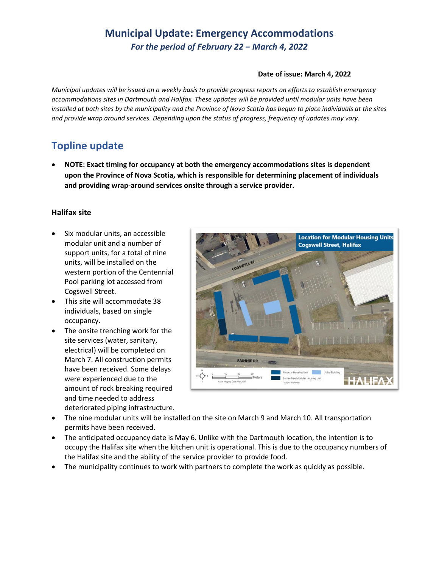## **Municipal Update: Emergency Accommodations** *For the period of February 22 – March 4, 2022*

#### **Date of issue: March 4, 2022**

*Municipal updates will be issued on a weekly basis to provide progress reports on efforts to establish emergency accommodations sites in Dartmouth and Halifax. These updates will be provided until modular units have been installed at both sites by the municipality and the Province of Nova Scotia has begun to place individuals at the sites and provide wrap around services. Depending upon the status of progress, frequency of updates may vary.* 

### **Topline update**

• **NOTE: Exact timing for occupancy at both the emergency accommodations sites is dependent upon the Province of Nova Scotia, which is responsible for determining placement of individuals and providing wrap-around services onsite through a service provider.**

### **Halifax site**

- Six modular units, an accessible modular unit and a number of support units, for a total of nine units, will be installed on the western portion of the Centennial Pool parking lot accessed from Cogswell Street.
- This site will accommodate 38 individuals, based on single occupancy.
- The onsite trenching work for the site services (water, sanitary, electrical) will be completed on March 7. All construction permits have been received. Some delays were experienced due to the amount of rock breaking required and time needed to address deteriorated piping infrastructure.



- The nine modular units will be installed on the site on March 9 and March 10. All transportation permits have been received.
- The anticipated occupancy date is May 6. Unlike with the Dartmouth location, the intention is to occupy the Halifax site when the kitchen unit is operational. This is due to the occupancy numbers of the Halifax site and the ability of the service provider to provide food.
- The municipality continues to work with partners to complete the work as quickly as possible.